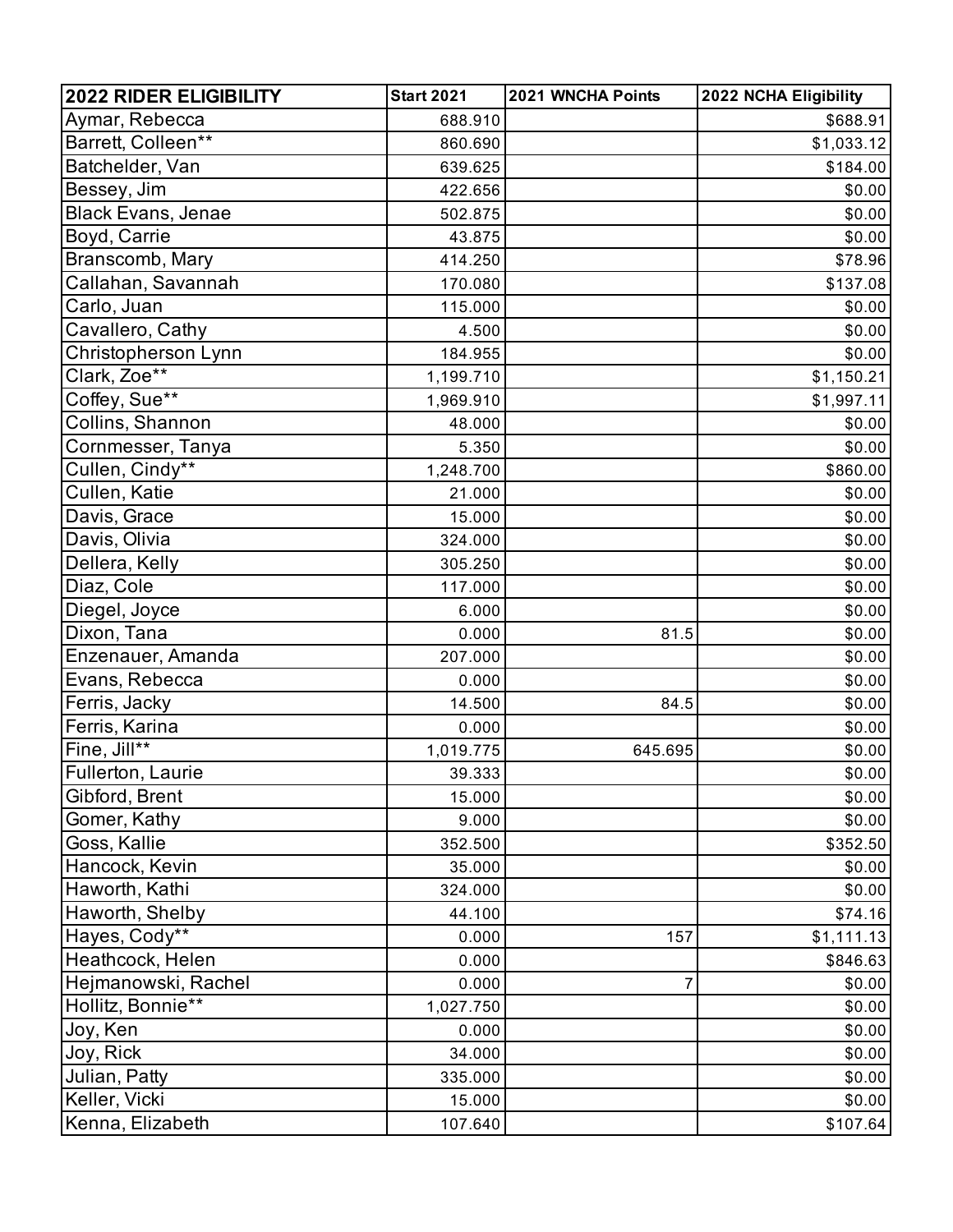| <b>2022 RIDER ELIGIBILITY</b> | <b>Start 2021</b> | 2021 WNCHA Points | 2022 NCHA Eligibility |
|-------------------------------|-------------------|-------------------|-----------------------|
| Aymar, Rebecca                | 688.910           |                   | \$688.91              |
| Barrett, Colleen**            | 860.690           |                   | \$1,033.12            |
| Batchelder, Van               | 639.625           |                   | \$184.00              |
| Bessey, Jim                   | 422.656           |                   | \$0.00                |
| <b>Black Evans, Jenae</b>     | 502.875           |                   | \$0.00                |
| Boyd, Carrie                  | 43.875            |                   | \$0.00                |
| Branscomb, Mary               | 414.250           |                   | \$78.96               |
| Callahan, Savannah            | 170.080           |                   | \$137.08              |
| Carlo, Juan                   | 115.000           |                   | \$0.00                |
| Cavallero, Cathy              | 4.500             |                   | \$0.00                |
| Christopherson Lynn           | 184.955           |                   | \$0.00                |
| Clark, Zoe**                  | 1,199.710         |                   | \$1,150.21            |
| Coffey, Sue**                 | 1,969.910         |                   | \$1,997.11            |
| Collins, Shannon              | 48.000            |                   | \$0.00                |
| Cornmesser, Tanya             | 5.350             |                   | \$0.00                |
| Cullen, Cindy**               | 1,248.700         |                   | \$860.00              |
| Cullen, Katie                 | 21.000            |                   | \$0.00                |
| Davis, Grace                  | 15.000            |                   | \$0.00                |
| Davis, Olivia                 | 324.000           |                   | \$0.00                |
| Dellera, Kelly                | 305.250           |                   | \$0.00                |
| Diaz, Cole                    | 117.000           |                   | \$0.00                |
| Diegel, Joyce                 | 6.000             |                   | \$0.00                |
| Dixon, Tana                   | 0.000             | 81.5              | \$0.00                |
| Enzenauer, Amanda             | 207.000           |                   | \$0.00                |
| Evans, Rebecca                | 0.000             |                   | \$0.00                |
| Ferris, Jacky                 | 14.500            | 84.5              | \$0.00                |
| Ferris, Karina                | 0.000             |                   | \$0.00                |
| Fine, Jill**                  | 1,019.775         | 645.695           | \$0.00                |
| Fullerton, Laurie             | 39.333            |                   | \$0.00                |
| Gibford, Brent                | 15.000            |                   | \$0.00                |
| Gomer, Kathy                  | 9.000             |                   | \$0.00                |
| Goss, Kallie                  | 352.500           |                   | \$352.50              |
| Hancock, Kevin                | 35.000            |                   | \$0.00                |
| Haworth, Kathi                | 324.000           |                   | \$0.00                |
| Haworth, Shelby               | 44.100            |                   | \$74.16               |
| Hayes, Cody**                 | 0.000             | 157               | \$1,111.13            |
| Heathcock, Helen              | 0.000             |                   | \$846.63              |
| Hejmanowski, Rachel           | 0.000             | $\overline{7}$    | \$0.00                |
| Hollitz, Bonnie**             | 1,027.750         |                   | \$0.00                |
| Joy, Ken                      | 0.000             |                   | \$0.00                |
| Joy, Rick                     | 34.000            |                   | \$0.00                |
| Julian, Patty                 | 335.000           |                   | \$0.00                |
| Keller, Vicki                 | 15.000            |                   | \$0.00                |
| Kenna, Elizabeth              | 107.640           |                   | \$107.64              |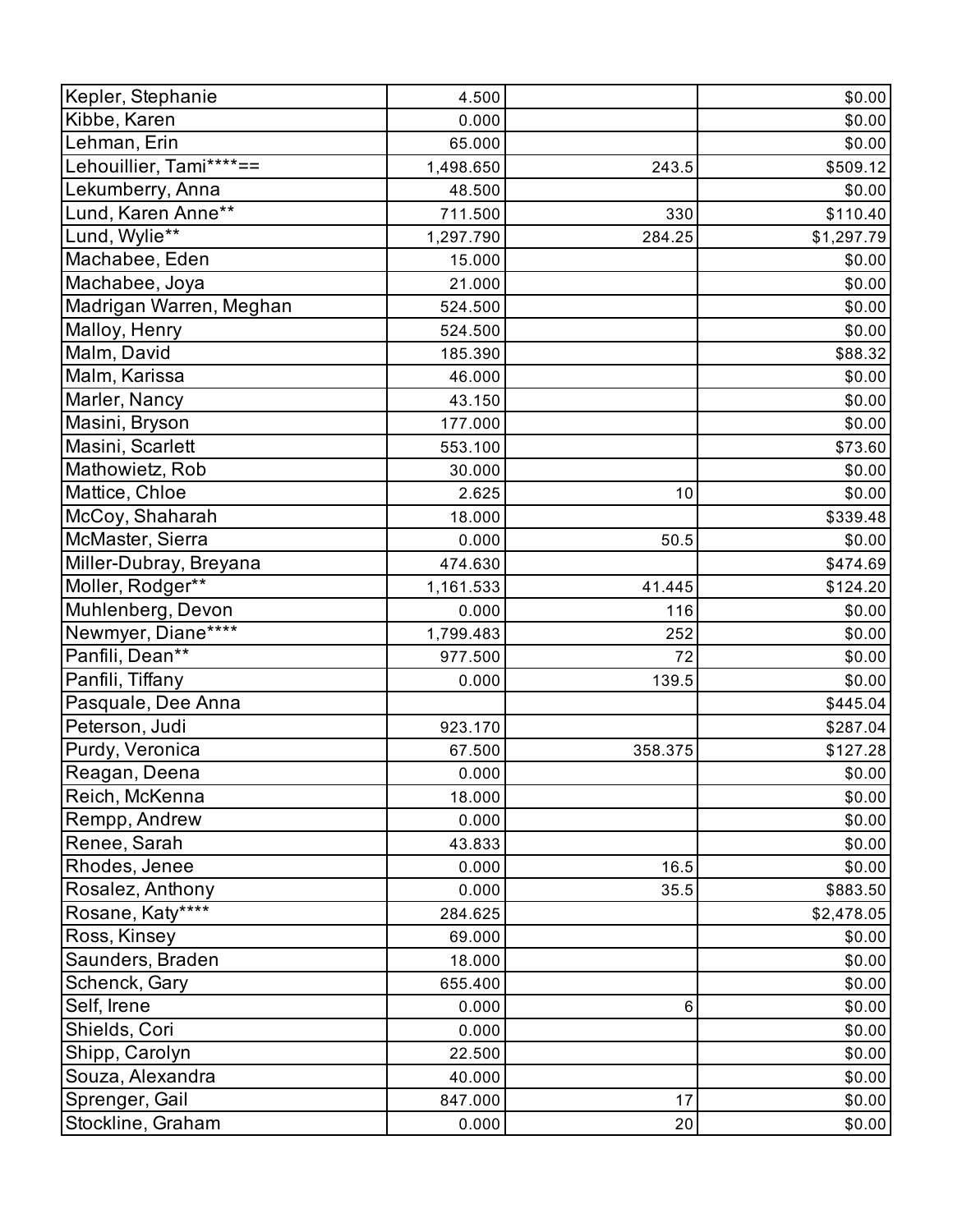| Kepler, Stephanie       | 4.500     |         | \$0.00     |
|-------------------------|-----------|---------|------------|
| Kibbe, Karen            | 0.000     |         | \$0.00     |
| Lehman, Erin            | 65.000    |         | \$0.00     |
| Lehouillier, Tami****== | 1,498.650 | 243.5   | \$509.12   |
| Lekumberry, Anna        | 48.500    |         | \$0.00     |
| Lund, Karen Anne**      | 711.500   | 330     | \$110.40   |
| Lund, Wylie**           | 1,297.790 | 284.25  | \$1,297.79 |
| Machabee, Eden          | 15.000    |         | \$0.00     |
| Machabee, Joya          | 21.000    |         | \$0.00     |
| Madrigan Warren, Meghan | 524.500   |         | \$0.00     |
| Malloy, Henry           | 524.500   |         | \$0.00     |
| Malm, David             | 185.390   |         | \$88.32    |
| Malm, Karissa           | 46.000    |         | \$0.00     |
| Marler, Nancy           | 43.150    |         | \$0.00     |
| Masini, Bryson          | 177.000   |         | \$0.00     |
| Masini, Scarlett        | 553.100   |         | \$73.60    |
| Mathowietz, Rob         | 30.000    |         | \$0.00     |
| Mattice, Chloe          | 2.625     | 10      | \$0.00     |
| McCoy, Shaharah         | 18.000    |         | \$339.48   |
| McMaster, Sierra        | 0.000     | 50.5    | \$0.00     |
| Miller-Dubray, Breyana  | 474.630   |         | \$474.69   |
| Moller, Rodger**        | 1,161.533 | 41.445  | \$124.20   |
| Muhlenberg, Devon       | 0.000     | 116     | \$0.00     |
| Newmyer, Diane****      | 1,799.483 | 252     | \$0.00     |
| Panfili, Dean**         | 977.500   | 72      | \$0.00     |
| Panfili, Tiffany        | 0.000     | 139.5   | \$0.00     |
| Pasquale, Dee Anna      |           |         | \$445.04   |
| Peterson, Judi          | 923.170   |         | \$287.04   |
| Purdy, Veronica         | 67.500    | 358.375 | \$127.28   |
| Reagan, Deena           | 0.000     |         | \$0.00     |
| Reich, McKenna          | 18.000    |         | \$0.00     |
| Rempp, Andrew           | 0.000     |         | \$0.00     |
| Renee, Sarah            | 43.833    |         | \$0.00     |
| Rhodes, Jenee           | 0.000     | 16.5    | \$0.00     |
| Rosalez, Anthony        | 0.000     | 35.5    | \$883.50   |
| Rosane, Katy****        | 284.625   |         | \$2,478.05 |
| Ross, Kinsey            | 69.000    |         | \$0.00     |
| Saunders, Braden        | 18.000    |         | \$0.00     |
| Schenck, Gary           | 655.400   |         | \$0.00     |
| Self, Irene             | 0.000     | 6       | \$0.00     |
| Shields, Cori           | 0.000     |         | \$0.00     |
| Shipp, Carolyn          | 22.500    |         | \$0.00     |
| Souza, Alexandra        | 40.000    |         | \$0.00     |
| Sprenger, Gail          | 847.000   | 17      | \$0.00     |
| Stockline, Graham       | 0.000     | 20      | \$0.00     |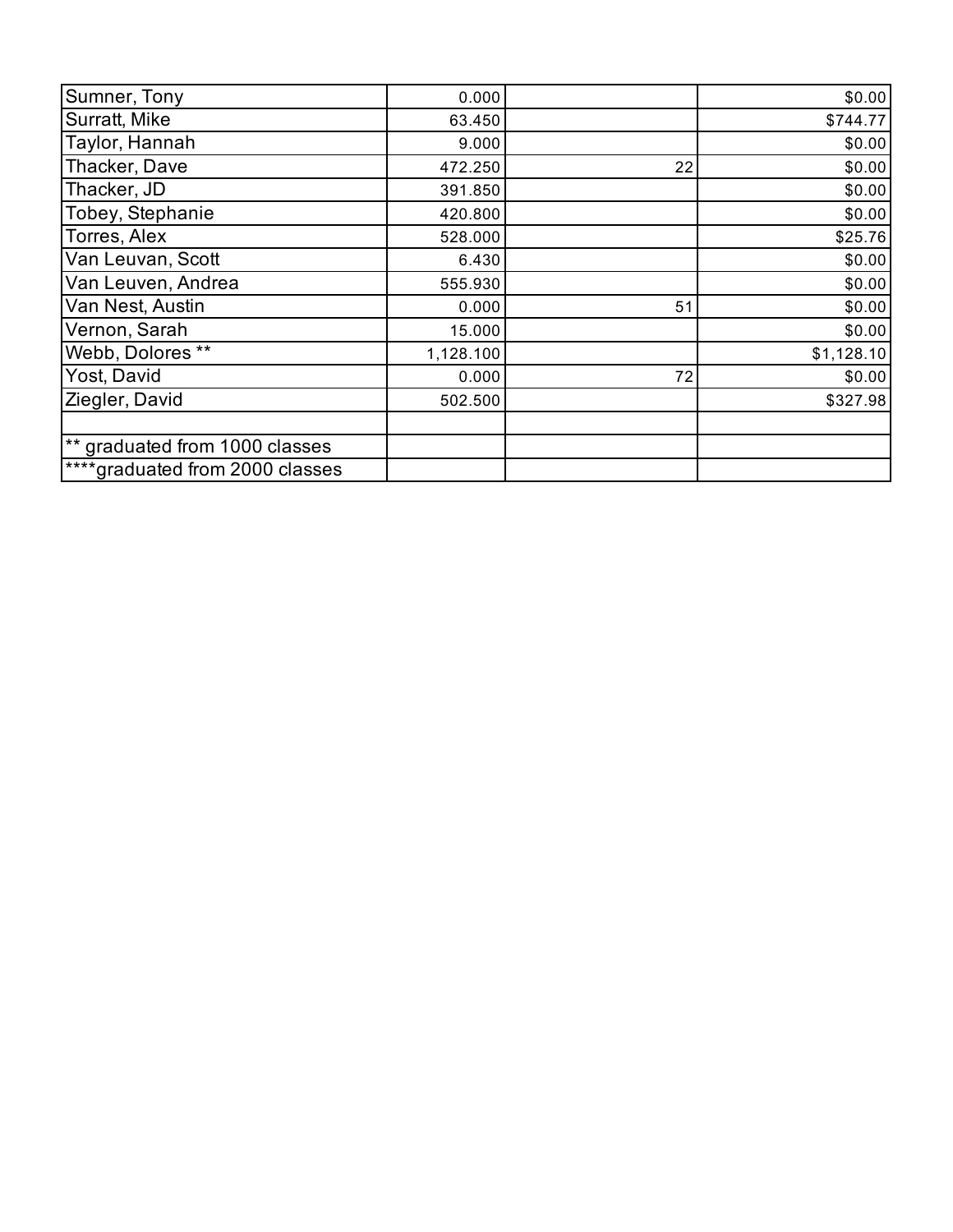| Sumner, Tony                    | 0.000     |    | \$0.00     |
|---------------------------------|-----------|----|------------|
| Surratt, Mike                   | 63.450    |    | \$744.77   |
| Taylor, Hannah                  | 9.000     |    | \$0.00     |
| Thacker, Dave                   | 472.250   | 22 | \$0.00     |
| Thacker, JD                     | 391.850   |    | \$0.00     |
| Tobey, Stephanie                | 420.800   |    | \$0.00     |
| Torres, Alex                    | 528.000   |    | \$25.76    |
| Van Leuvan, Scott               | 6.430     |    | \$0.00     |
| Van Leuven, Andrea              | 555.930   |    | \$0.00     |
| Van Nest, Austin                | 0.000     | 51 | \$0.00     |
| Vernon, Sarah                   | 15.000    |    | \$0.00     |
| Webb, Dolores **                | 1,128.100 |    | \$1,128.10 |
| Yost, David                     | 0.000     | 72 | \$0.00     |
| Ziegler, David                  | 502.500   |    | \$327.98   |
|                                 |           |    |            |
| ** graduated from 1000 classes  |           |    |            |
| ****graduated from 2000 classes |           |    |            |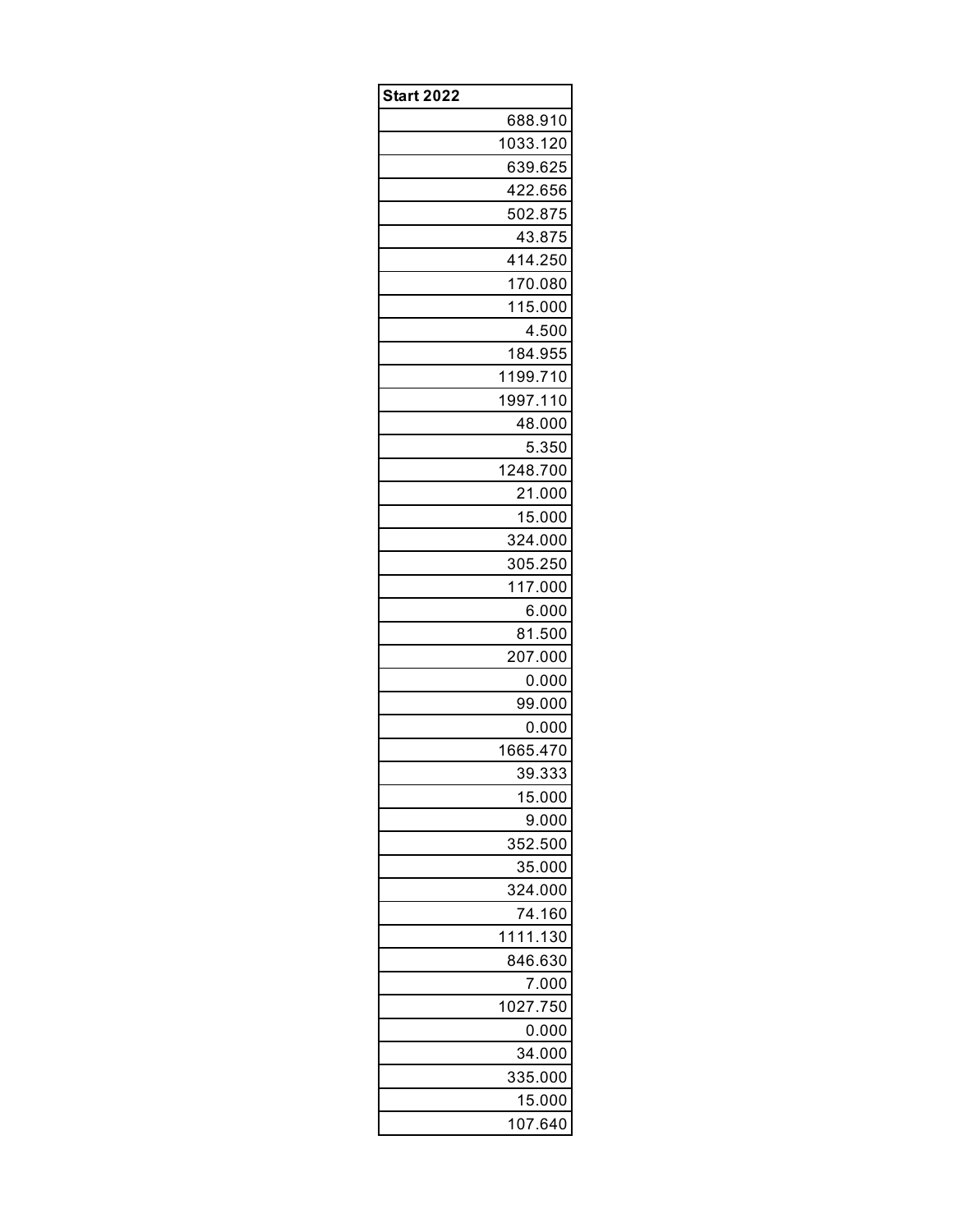| <b>Start 2022</b> |          |
|-------------------|----------|
|                   | 688.910  |
|                   | 1033.120 |
|                   | 639.625  |
|                   | 422.656  |
|                   | 502.875  |
|                   | 43.875   |
|                   | 414.250  |
|                   | 170.080  |
|                   | 115.000  |
|                   | 4.500    |
|                   | 184.955  |
|                   | 1199.710 |
|                   | 1997.110 |
|                   | 48.000   |
|                   | 5.350    |
|                   | 1248.700 |
|                   | 21.000   |
|                   | 15.000   |
|                   | 324.000  |
|                   | 305.250  |
|                   | 117.000  |
|                   | 6.000    |
|                   | 81.500   |
|                   | 207.000  |
|                   | 0.000    |
|                   | 99.000   |
|                   | 0.000    |
|                   | 1665.470 |
|                   | 39.333   |
|                   | 15.000   |
|                   | 9.000    |
|                   | 352.500  |
|                   | 35.000   |
|                   | 324.000  |
|                   | 74.160   |
|                   | 1111.130 |
|                   | 846.630  |
|                   | 7.000    |
|                   | 1027.750 |
|                   | 0.000    |
|                   | 34.000   |
|                   | 335.000  |
|                   | 15.000   |
|                   | 107.640  |